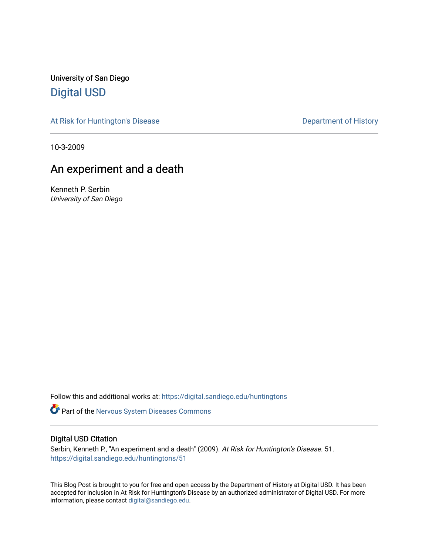University of San Diego [Digital USD](https://digital.sandiego.edu/)

[At Risk for Huntington's Disease](https://digital.sandiego.edu/huntingtons) **Department of History** Department of History

10-3-2009

## An experiment and a death

Kenneth P. Serbin University of San Diego

Follow this and additional works at: [https://digital.sandiego.edu/huntingtons](https://digital.sandiego.edu/huntingtons?utm_source=digital.sandiego.edu%2Fhuntingtons%2F51&utm_medium=PDF&utm_campaign=PDFCoverPages)

**Part of the [Nervous System Diseases Commons](http://network.bepress.com/hgg/discipline/928?utm_source=digital.sandiego.edu%2Fhuntingtons%2F51&utm_medium=PDF&utm_campaign=PDFCoverPages)** 

#### Digital USD Citation

Serbin, Kenneth P., "An experiment and a death" (2009). At Risk for Huntington's Disease. 51. [https://digital.sandiego.edu/huntingtons/51](https://digital.sandiego.edu/huntingtons/51?utm_source=digital.sandiego.edu%2Fhuntingtons%2F51&utm_medium=PDF&utm_campaign=PDFCoverPages)

This Blog Post is brought to you for free and open access by the Department of History at Digital USD. It has been accepted for inclusion in At Risk for Huntington's Disease by an authorized administrator of Digital USD. For more information, please contact [digital@sandiego.edu.](mailto:digital@sandiego.edu)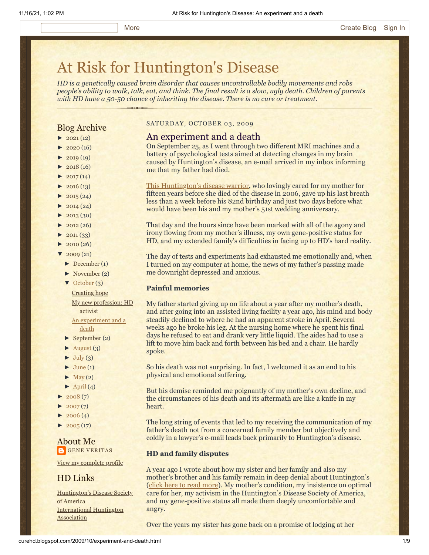# [At Risk for Huntington's Disease](http://curehd.blogspot.com/)

*HD is a genetically caused brain disorder that causes uncontrollable bodily movements and robs people's ability to walk, talk, eat, and think. The final result is a slow, ugly death. Children of parents with HD have a 50-50 chance of inheriting the disease. There is no cure or treatment.*

#### Blog Archive

- $\blacktriangleright$  [2021](http://curehd.blogspot.com/2021/)(12)
- $\blacktriangleright$  [2020](http://curehd.blogspot.com/2020/) (16)
- $\blacktriangleright$  [2019](http://curehd.blogspot.com/2019/) (19)
- $\blacktriangleright$  [2018](http://curehd.blogspot.com/2018/) (16)
- $\blacktriangleright$  [2017](http://curehd.blogspot.com/2017/) (14)
- $-2016(13)$  $-2016(13)$  $-2016(13)$  $\blacktriangleright$  [2015](http://curehd.blogspot.com/2015/) (24)
- 
- $\blacktriangleright$  [2014](http://curehd.blogspot.com/2014/) (24)
- $\blacktriangleright$  [2013](http://curehd.blogspot.com/2013/) (30)
- $\blacktriangleright$  [2012](http://curehd.blogspot.com/2012/) (26)
- $\blacktriangleright$  [2011](http://curehd.blogspot.com/2011/) (33)
- $\blacktriangleright$  [2010](http://curehd.blogspot.com/2010/) (26)
- $\frac{1}{2009}$  $\frac{1}{2009}$  $\frac{1}{2009}$  (21)
- [►](javascript:void(0)) [December](http://curehd.blogspot.com/2009/12/) (1)
- [►](javascript:void(0)) [November](http://curehd.blogspot.com/2009/11/) (2)
- [▼](javascript:void(0)) [October](http://curehd.blogspot.com/2009/10/) (3)

[Creating](http://curehd.blogspot.com/2009/10/creating-hope.html) hope My new [profession:](http://curehd.blogspot.com/2009/10/my-new-profession-hd-activist.html) HD activist

An [experiment](http://curehd.blogspot.com/2009/10/experiment-and-death.html) and a death

- $\blacktriangleright$  [September](http://curehd.blogspot.com/2009/09/) (2)
- $\blacktriangleright$  [August](http://curehd.blogspot.com/2009/08/) (3)
- $\blacktriangleright$  [July](http://curehd.blogspot.com/2009/07/) (3)
- $\blacktriangleright$  [June](http://curehd.blogspot.com/2009/06/) (1)
- $\blacktriangleright$  [May](http://curehd.blogspot.com/2009/05/) (2)
- $\blacktriangleright$  [April](http://curehd.blogspot.com/2009/04/) (4)
- $2008(7)$  $2008(7)$
- $2007(7)$  $2007(7)$
- $2006(4)$  $2006(4)$
- $\blacktriangleright$  [2005](http://curehd.blogspot.com/2005/) (17)

#### About Me **GENE [VERITAS](https://www.blogger.com/profile/10911736205741688185)**

View my [complete](https://www.blogger.com/profile/10911736205741688185) profile

#### HD Links

[Huntington's](http://www.hdsa.org/) Disease Society of America [International](http://www.huntington-assoc.com/) Huntington **Association** 

#### SATURDAY, OCTOBER 03, 2009

#### An experiment and a death

On September 25, as I went through two different MRI machines and a battery of psychological tests aimed at detecting changes in my brain caused by Huntington's disease, an e-mail arrived in my inbox informing me that my father had died.

[This Huntington's disease warrior](http://curehd.blogspot.com/2009/04/huntingtons-warrior-lays-down-his.html), who lovingly cared for my mother for fifteen years before she died of the disease in 2006, gave up his last breath less than a week before his 82nd birthday and just two days before what would have been his and my mother's 51st wedding anniversary.

That day and the hours since have been marked with all of the agony and irony flowing from my mother's illness, my own gene-positive status for HD, and my extended family's difficulties in facing up to HD's hard reality.

The day of tests and experiments had exhausted me emotionally and, when I turned on my computer at home, the news of my father's passing made me downright depressed and anxious.

#### **Painful memories**

My father started giving up on life about a year after my mother's death, and after going into an assisted living facility a year ago, his mind and body steadily declined to where he had an apparent stroke in April. Several weeks ago he broke his leg. At the nursing home where he spent his final days he refused to eat and drank very little liquid. The aides had to use a lift to move him back and forth between his bed and a chair. He hardly spoke.

So his death was not surprising. In fact, I welcomed it as an end to his physical and emotional suffering.

But his demise reminded me poignantly of my mother's own decline, and the circumstances of his death and its aftermath are like a knife in my heart.

The long string of events that led to my receiving the communication of my father's death not from a concerned family member but objectively and coldly in a lawyer's e-mail leads back primarily to Huntington's disease.

#### **HD and family disputes**

A year ago I wrote about how my sister and her family and also my mother's brother and his family remain in deep denial about Huntington's ([click here to read more](http://curehd.blogspot.com/2008/09/disease-denial-and-support-many-kinds.html)). My mother's condition, my insistence on optimal care for her, my activism in the Huntington's Disease Society of America, and my gene-positive status all made them deeply uncomfortable and angry.

Over the years my sister has gone back on a promise of lodging at her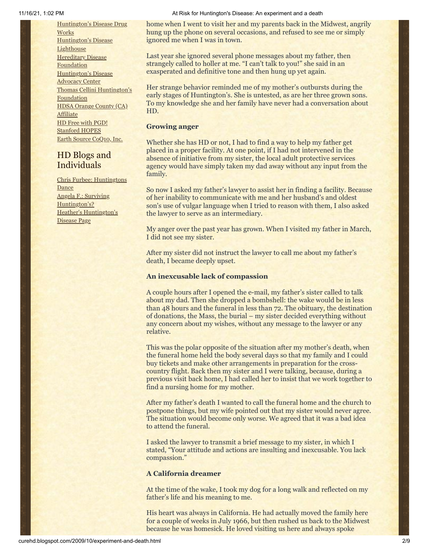[Huntington's](http://hddrugworks.org/) Disease Drug **Works** [Huntington's](http://www.hdlighthouse.org/) Disease **Lighthouse Hereditary Disease [Foundation](http://www.hdfoundation.org/)** [Huntington's](http://www.hdac.org/) Disease Advocacy Center Thomas [Cellini Huntington's](http://www.ourtchfoundation.org/) Foundation HDSA Orange County (CA) [Affiliate](http://www.hdsaoc.org/) HD Free with [PGD!](http://www.hdfreewithpgd.com/) [Stanford](http://www.stanford.edu/group/hopes/) HOPES Earth Source [CoQ10,](http://www.escoq10.com/) Inc.

### HD Blogs and Individuals

Chris Furbee: [Huntingtons](http://www.huntingtonsdance.org/) **Dance** Angela F.: Surviving [Huntington's?](http://survivinghuntingtons.blogspot.com/) Heather's [Huntington's](http://heatherdugdale.angelfire.com/) Disease Page

#### 11/16/21, 1:02 PM At Risk for Huntington's Disease: An experiment and a death

home when I went to visit her and my parents back in the Midwest, angrily hung up the phone on several occasions, and refused to see me or simply ignored me when I was in town.

Last year she ignored several phone messages about my father, then strangely called to holler at me. "I can't talk to you!" she said in an exasperated and definitive tone and then hung up yet again.

Her strange behavior reminded me of my mother's outbursts during the early stages of Huntington's. She is untested, as are her three grown sons. To my knowledge she and her family have never had a conversation about HD.

#### **Growing anger**

Whether she has HD or not, I had to find a way to help my father get placed in a proper facility. At one point, if I had not intervened in the absence of initiative from my sister, the local adult protective services agency would have simply taken my dad away without any input from the family.

So now I asked my father's lawyer to assist her in finding a facility. Because of her inability to communicate with me and her husband's and oldest son's use of vulgar language when I tried to reason with them, I also asked the lawyer to serve as an intermediary.

My anger over the past year has grown. When I visited my father in March, I did not see my sister.

After my sister did not instruct the lawyer to call me about my father's death, I became deeply upset.

#### **An inexcusable lack of compassion**

A couple hours after I opened the e-mail, my father's sister called to talk about my dad. Then she dropped a bombshell: the wake would be in less than 48 hours and the funeral in less than 72. The obituary, the destination of donations, the Mass, the burial – my sister decided everything without any concern about my wishes, without any message to the lawyer or any relative.

This was the polar opposite of the situation after my mother's death, when the funeral home held the body several days so that my family and I could buy tickets and make other arrangements in preparation for the crosscountry flight. Back then my sister and I were talking, because, during a previous visit back home, I had called her to insist that we work together to find a nursing home for my mother.

After my father's death I wanted to call the funeral home and the church to postpone things, but my wife pointed out that my sister would never agree. The situation would become only worse. We agreed that it was a bad idea to attend the funeral.

I asked the lawyer to transmit a brief message to my sister, in which I stated, "Your attitude and actions are insulting and inexcusable. You lack compassion."

#### **A California dreamer**

At the time of the wake, I took my dog for a long walk and reflected on my father's life and his meaning to me.

His heart was always in California. He had actually moved the family here for a couple of weeks in July 1966, but then rushed us back to the Midwest because he was homesick. He loved visiting us here and always spoke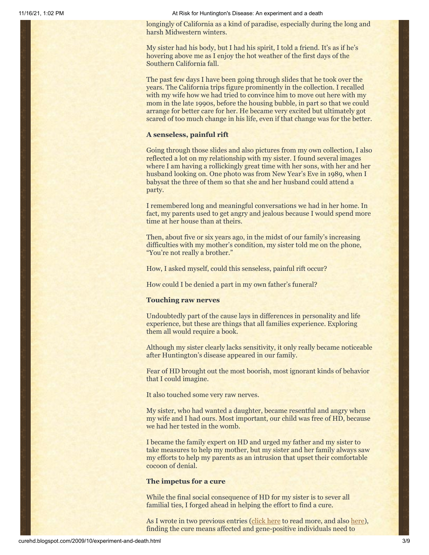longingly of California as a kind of paradise, especially during the long and harsh Midwestern winters.

My sister had his body, but I had his spirit, I told a friend. It's as if he's hovering above me as I enjoy the hot weather of the first days of the Southern California fall.

The past few days I have been going through slides that he took over the years. The California trips figure prominently in the collection. I recalled with my wife how we had tried to convince him to move out here with my mom in the late 1990s, before the housing bubble, in part so that we could arrange for better care for her. He became very excited but ultimately got scared of too much change in his life, even if that change was for the better.

#### **A senseless, painful rift**

Going through those slides and also pictures from my own collection, I also reflected a lot on my relationship with my sister. I found several images where I am having a rollickingly great time with her sons, with her and her husband looking on. One photo was from New Year's Eve in 1989, when I babysat the three of them so that she and her husband could attend a party.

I remembered long and meaningful conversations we had in her home. In fact, my parents used to get angry and jealous because I would spend more time at her house than at theirs.

Then, about five or six years ago, in the midst of our family's increasing difficulties with my mother's condition, my sister told me on the phone, "You're not really a brother."

How, I asked myself, could this senseless, painful rift occur?

How could I be denied a part in my own father's funeral?

#### **Touching raw nerves**

Undoubtedly part of the cause lays in differences in personality and life experience, but these are things that all families experience. Exploring them all would require a book.

Although my sister clearly lacks sensitivity, it only really became noticeable after Huntington's disease appeared in our family.

Fear of HD brought out the most boorish, most ignorant kinds of behavior that I could imagine.

It also touched some very raw nerves.

My sister, who had wanted a daughter, became resentful and angry when my wife and I had ours. Most important, our child was free of HD, because we had her tested in the womb.

I became the family expert on HD and urged my father and my sister to take measures to help my mother, but my sister and her family always saw my efforts to help my parents as an intrusion that upset their comfortable cocoon of denial.

#### **The impetus for a cure**

While the final social consequence of HD for my sister is to sever all familial ties, I forged ahead in helping the effort to find a cure.

As I wrote in two previous entries [\(click here](http://curehd.blogspot.com/2009/07/great-reasons-to-be-guinea-pig.html) to read more, and also [here](http://curehd.blogspot.com/2009/07/new-attitude-about-huntingtons-disease.html)), finding the cure means affected and gene-positive individuals need to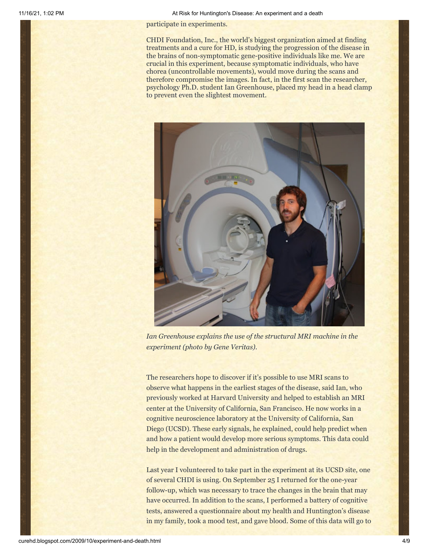participate in experiments.

CHDI Foundation, Inc., the world's biggest organization aimed at finding treatments and a cure for HD, is studying the progression of the disease in the brains of non-symptomatic gene-positive individuals like me. We are crucial in this experiment, because symptomatic individuals, who have chorea (uncontrollable movements), would move during the scans and therefore compromise the images. In fact, in the first scan the researcher, psychology Ph.D. student Ian Greenhouse, placed my head in a head clamp to prevent even the slightest movement.



*Ian Greenhouse explains the use of the structural MRI machine in the experiment (photo by Gene Veritas).*

The researchers hope to discover if it's possible to use MRI scans to observe what happens in the earliest stages of the disease, said Ian, who previously worked at Harvard University and helped to establish an MRI center at the University of California, San Francisco. He now works in a cognitive neuroscience laboratory at the University of California, San Diego (UCSD). These early signals, he explained, could help predict when and how a patient would develop more serious symptoms. This data could help in the development and administration of drugs.

Last year I volunteered to take part in the experiment at its UCSD site, one of several CHDI is using. On September 25 I returned for the one-year follow-up, which was necessary to trace the changes in the brain that may have occurred. In addition to the scans, I performed a battery of cognitive tests, answered a questionnaire about my health and Huntington's disease in my family, took a mood test, and gave blood. Some of this data will go to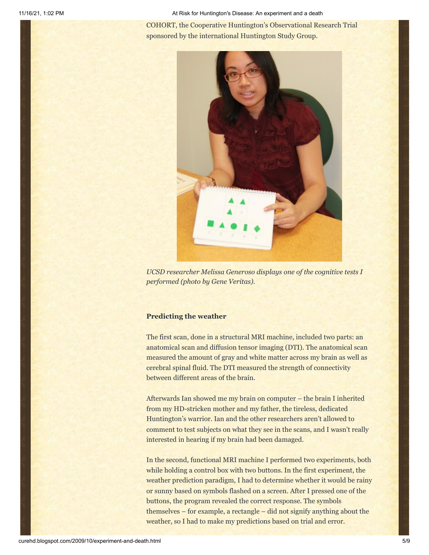COHORT, the Cooperative Huntington's Observational Research Trial sponsored by the international Huntington Study Group.



*UCSD researcher Melissa Generoso displays one of the cognitive tests I performed (photo by Gene Veritas).*

#### **Predicting the weather**

The first scan, done in a structural MRI machine, included two parts: an anatomical scan and diffusion tensor imaging (DTI). The anatomical scan measured the amount of gray and white matter across my brain as well as cerebral spinal fluid. The DTI measured the strength of connectivity between different areas of the brain.

Afterwards Ian showed me my brain on computer – the brain I inherited from my HD-stricken mother and my father, the tireless, dedicated Huntington's warrior. Ian and the other researchers aren't allowed to comment to test subjects on what they see in the scans, and I wasn't really interested in hearing if my brain had been damaged.

In the second, functional MRI machine I performed two experiments, both while holding a control box with two buttons. In the first experiment, the weather prediction paradigm, I had to determine whether it would be rainy or sunny based on symbols flashed on a screen. After I pressed one of the buttons, the program revealed the correct response. The symbols themselves – for example, a rectangle – did not signify anything about the weather, so I had to make my predictions based on trial and error.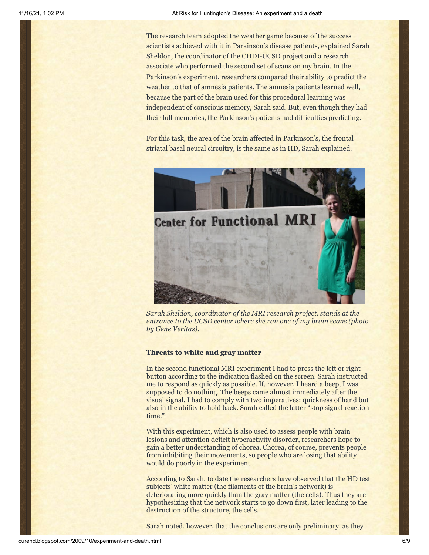The research team adopted the weather game because of the success scientists achieved with it in Parkinson's disease patients, explained Sarah Sheldon, the coordinator of the CHDI-UCSD project and a research associate who performed the second set of scans on my brain. In the Parkinson's experiment, researchers compared their ability to predict the weather to that of amnesia patients. The amnesia patients learned well, because the part of the brain used for this procedural learning was independent of conscious memory, Sarah said. But, even though they had their full memories, the Parkinson's patients had difficulties predicting.

For this task, the area of the brain affected in Parkinson's, the frontal striatal basal neural circuitry, is the same as in HD, Sarah explained.



*Sarah Sheldon, coordinator of the MRI research project, stands at the entrance to the UCSD center where she ran one of my brain scans (photo by Gene Veritas).*

#### **Threats to white and gray matter**

In the second functional MRI experiment I had to press the left or right button according to the indication flashed on the screen. Sarah instructed me to respond as quickly as possible. If, however, I heard a beep, I was supposed to do nothing. The beeps came almost immediately after the visual signal. I had to comply with two imperatives: quickness of hand but also in the ability to hold back. Sarah called the latter "stop signal reaction time."

With this experiment, which is also used to assess people with brain lesions and attention deficit hyperactivity disorder, researchers hope to gain a better understanding of chorea. Chorea, of course, prevents people from inhibiting their movements, so people who are losing that ability would do poorly in the experiment.

According to Sarah, to date the researchers have observed that the HD test subjects' white matter (the filaments of the brain's network) is deteriorating more quickly than the gray matter (the cells). Thus they are hypothesizing that the network starts to go down first, later leading to the destruction of the structure, the cells.

Sarah noted, however, that the conclusions are only preliminary, as they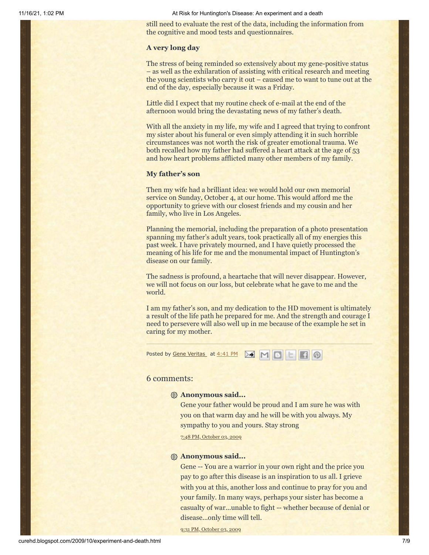still need to evaluate the rest of the data, including the information from the cognitive and mood tests and questionnaires.

#### **A very long day**

The stress of being reminded so extensively about my gene-positive status – as well as the exhilaration of assisting with critical research and meeting the young scientists who carry it out – caused me to want to tune out at the end of the day, especially because it was a Friday.

Little did I expect that my routine check of e-mail at the end of the afternoon would bring the devastating news of my father's death.

With all the anxiety in my life, my wife and I agreed that trying to confront my sister about his funeral or even simply attending it in such horrible circumstances was not worth the risk of greater emotional trauma. We both recalled how my father had suffered a heart attack at the age of 53 and how heart problems afflicted many other members of my family.

#### **My father's son**

Then my wife had a brilliant idea: we would hold our own memorial service on Sunday, October 4, at our home. This would afford me the opportunity to grieve with our closest friends and my cousin and her family, who live in Los Angeles.

Planning the memorial, including the preparation of a photo presentation spanning my father's adult years, took practically all of my energies this past week. I have privately mourned, and I have quietly processed the meaning of his life for me and the monumental impact of Huntington's disease on our family.

The sadness is profound, a heartache that will never disappear. However, we will not focus on our loss, but celebrate what he gave to me and the world.

I am my father's son, and my dedication to the HD movement is ultimately a result of the life path he prepared for me. And the strength and courage I need to persevere will also well up in me because of the example he set in caring for my mother.

Posted by <u>Gene [Veritas](https://www.blogger.com/profile/03599828959793084715)</u> at <u>[4:41](http://curehd.blogspot.com/2009/10/experiment-and-death.html) PM</u> **M M B H B** 

#### 6 comments:

#### **Anonymous said...**

Gene your father would be proud and I am sure he was with you on that warm day and he will be with you always. My sympathy to you and yours. Stay strong

7:48 PM, [October](http://curehd.blogspot.com/2009/10/experiment-and-death.html?showComment=1254624506984#c2898498080458203076) 03, 2009

#### **Anonymous said...**

Gene -- You are a warrior in your own right and the price you pay to go after this disease is an inspiration to us all. I grieve with you at this, another loss and continue to pray for you and your family. In many ways, perhaps your sister has become a casualty of war...unable to fight -- whether because of denial or disease...only time will tell.

9:31 PM, [October](http://curehd.blogspot.com/2009/10/experiment-and-death.html?showComment=1254630679217#c8410963945810051212) 03, 2009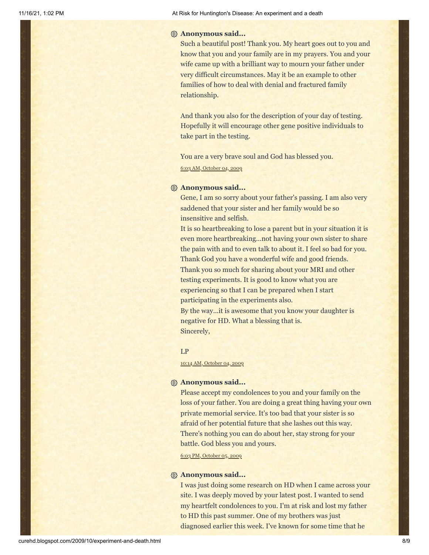#### **Anonymous said...**

Such a beautiful post! Thank you. My heart goes out to you and know that you and your family are in my prayers. You and your wife came up with a brilliant way to mourn your father under very difficult circumstances. May it be an example to other families of how to deal with denial and fractured family relationship.

And thank you also for the description of your day of testing. Hopefully it will encourage other gene positive individuals to take part in the testing.

You are a very brave soul and God has blessed you.

6:03 AM, [October](http://curehd.blogspot.com/2009/10/experiment-and-death.html?showComment=1254661386313#c1868375468526706917) 04, 2009

#### **Anonymous said...**

Gene, I am so sorry about your father's passing. I am also very saddened that your sister and her family would be so insensitive and selfish.

It is so heartbreaking to lose a parent but in your situation it is even more heartbreaking...not having your own sister to share the pain with and to even talk to about it. I feel so bad for you. Thank God you have a wonderful wife and good friends. Thank you so much for sharing about your MRI and other testing experiments. It is good to know what you are experiencing so that I can be prepared when I start participating in the experiments also. By the way...it is awesome that you know your daughter is

negative for HD. What a blessing that is. Sincerely,

#### LP

10:14 AM, [October](http://curehd.blogspot.com/2009/10/experiment-and-death.html?showComment=1254676455523#c3114667523328338530) 04, 2009

#### **Anonymous said...**

Please accept my condolences to you and your family on the loss of your father. You are doing a great thing having your own private memorial service. It's too bad that your sister is so afraid of her potential future that she lashes out this way. There's nothing you can do about her, stay strong for your battle. God bless you and yours.

6:03 PM, [October](http://curehd.blogspot.com/2009/10/experiment-and-death.html?showComment=1254791013034#c8178817050350614387) 05, 2009

#### **Anonymous said...**

I was just doing some research on HD when I came across your site. I was deeply moved by your latest post. I wanted to send my heartfelt condolences to you. I'm at risk and lost my father to HD this past summer. One of my brothers was just diagnosed earlier this week. I've known for some time that he